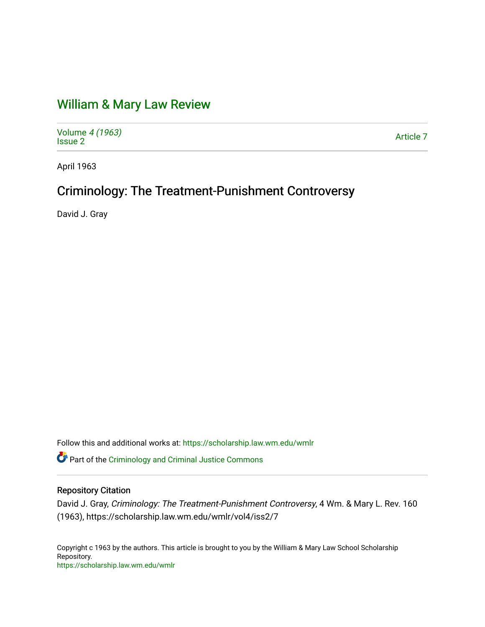# [William & Mary Law Review](https://scholarship.law.wm.edu/wmlr)

Volume [4 \(1963\)](https://scholarship.law.wm.edu/wmlr/vol4) volume 4 (1903)<br>[Issue 2](https://scholarship.law.wm.edu/wmlr/vol4/iss2) Article 7

April 1963

## Criminology: The Treatment-Punishment Controversy

David J. Gray

Follow this and additional works at: [https://scholarship.law.wm.edu/wmlr](https://scholarship.law.wm.edu/wmlr?utm_source=scholarship.law.wm.edu%2Fwmlr%2Fvol4%2Fiss2%2F7&utm_medium=PDF&utm_campaign=PDFCoverPages)

Part of the [Criminology and Criminal Justice Commons](http://network.bepress.com/hgg/discipline/367?utm_source=scholarship.law.wm.edu%2Fwmlr%2Fvol4%2Fiss2%2F7&utm_medium=PDF&utm_campaign=PDFCoverPages)

### Repository Citation

David J. Gray, Criminology: The Treatment-Punishment Controversy, 4 Wm. & Mary L. Rev. 160 (1963), https://scholarship.law.wm.edu/wmlr/vol4/iss2/7

Copyright c 1963 by the authors. This article is brought to you by the William & Mary Law School Scholarship Repository. <https://scholarship.law.wm.edu/wmlr>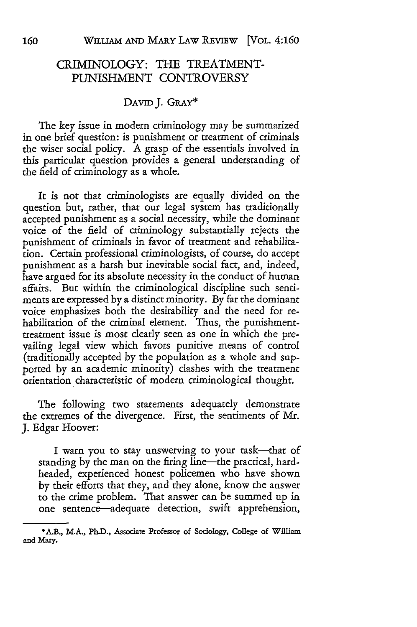### CRIMINOLOGY: THE TREATMENT-PUNISHMENT CONTROVERSY

#### DAviD J. GRAY\*

The key issue in modern criminology may be summarized in one brief question: is punishment or treatment of criminals the wiser social policy. A grasp of the essentials involved in this particular question provides a general understanding of the field of criminology as a whole.

It is not that criminologists are equally divided on the question but, rather, that our legal system has traditionally accepted punishment as a social necessity, while the dominant voice of the field of criminology substantially rejects the punishment of criminals in favor of treatment and rehabilitation. Certain professional criminologists, of course, do accept punishment as a harsh but inevitable social fact, and, indeed, have argued for its absolute necessity in the conduct of human affairs. But within the criminological discipline such sentiments are expressed by a distinct minority. By far the dominant voice emphasizes both the desirability and the need for rehabilitation of the criminal element. Thus, the punishmenttreatment issue is most dearly seen as one in which the prevailing legal view which favors punitive means of control (traditionally accepted by the population as a whole and supported by an academic minority) dashes with the treatment orientation characteristic of modern criminological thought.

The following two statements adequately demonstrate the extremes of the divergence. First, the sentiments of Mr. J. Edgar Hoover:

I warn you to stay unswerving to your task-that of standing by the man on the firing line—the practical, hardheaded, experienced honest policemen who have shown by their efforts that they, and they alone, know the answer to the crime problem. That answer can be summed up in one sentence-adequate detection, swift apprehension,

<sup>-</sup>A.B., M.A., Ph.D., Associate Professor of Sociology, College of **William** and Mary.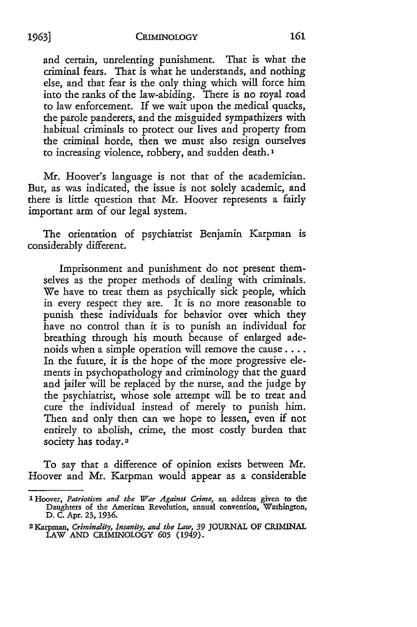and certain, unrelenting punishment. That is what the criminal fears. That is what he understands, and nothing else, and that fear is the only thing which will force him into the ranks of the law-abiding. There is no royal road to law enforcement. If we wait upon the medical quacks, the parole panderers, and the misguided sympathizers with habitual criminals to protect our lives and property from the criminal horde, then we must also resign ourselves to increasing violence, robbery, and sudden death. **1**

**Mr.** Hoover's language is not that of the academician. But, as was indicated, the issue is not solely academic, and there is little question that Mr. Hoover represents a fairly important arm of our legal system.

The orientation of psychiatrist Benjamin Karpman is considerably different.

Imprisonment and punishment do not present themselves as the proper methods of dealing with criminals. We have to treat them as psychically sick people, which in every respect they are. It is no more reasonable to punish these individuals for behavior over which they have no control than it is to punish an individual for breathing through his mouth because of enlarged adenoids when a simple operation will remove the cause .... In the future, it is the hope of the more progressive elements in psychopathology and criminology that the guard and jailer will be replaced by the nurse, and the judge by the psychiatrist, whose sole attempt will be to treat and cure the individual instead of merely to punish him. Then and only then can we hope to lessen, even if not entirely to abolish, crime, the most costly burden that society has today.<sup>2</sup>

To say that a difference of opinion exists between **Mr.** Hoover and **Mr.** Karpman would appear as a considerable

**I** Hoover, *Patriotism and the War Against Crime,* an address given to the Daughters of the American Revolution, annual convention, Washington, D. C. Apr. **23, 1936.**

**<sup>2</sup>** Karpman, *Criminality, Insanity, and the Law, 39* **JOURNAL** OF CRIMINAL LAW **AND** CRIMINOLOGY *605* (1949).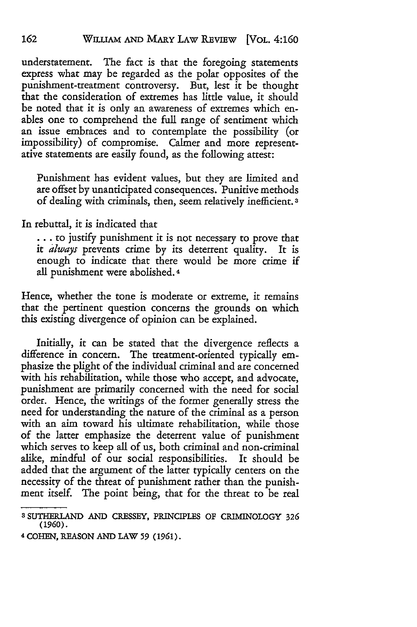understatement. The fact is that the foregoing statements express what may be regarded as the polar opposites of the punishment-treatment controversy. But, lest it be thought that the consideration of extremes has little value, it should be noted that it is only an awareness of extremes which enables one to comprehend the full range of sentiment which an issue embraces and to contemplate the possibility (or impossibility) of compromise. Calmer and more representative statements are easily found, as the following attest:

Punishment has evident values, but they are limited and are offset by unanticipated consequences. Punitive methods of dealing with criminals, then, seem relatively inefficient. **3**

In rebuttal, it is indicated that

**...** to justify punishment it is not necessary to prove that it *always* prevents crime by its deterrent quality. It is enough to indicate that there would be more crime if all punishment were abolished. 4

Hence, whether the tone is moderate or extreme, it remains that the pertinent question concerns the grounds on which this existing divergence of opinion can be explained.

Initially, it can be stated that the divergence reflects a difference in concern. The treatment-oriented typically emphasize the plight of the individual criminal and are concerned with his rehabilitation, while those who accept, and advocate, punishment are primarily concerned with the need for social order. Hence, the writings of the former generally stress the need for understanding the nature of the criminal as a person with an aim toward his ultimate rehabilitation, while those of the latter emphasize the deterrent value of punishment which serves to keep all of us, both criminal and non-criminal alike, mindful of our social responsibilities. It should be added that the argument of the latter typically centers on the necessity of the threat of punishment rather than the punishment itself. The point being, that for the threat to be real

**<sup>3</sup>** SUTHERlAND AND CRESSEY, PRINCIPLES OF CRIMINOLOGY 326 (1960).

**<sup>4</sup>** COHEN, REASON AND LAW *59* (1961).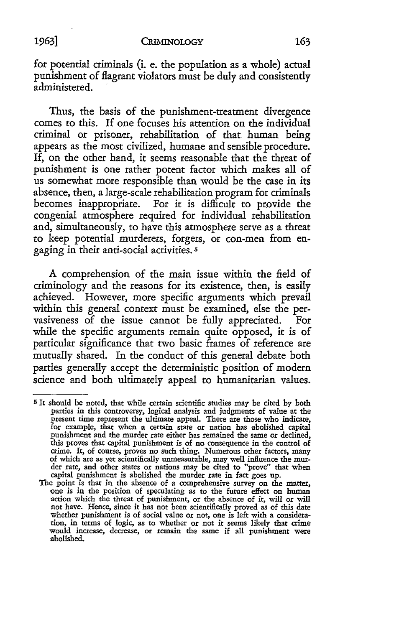for potential criminals (i. e. the population as a whole) actual punishment of flagrant violators must be duly and consistently administered.

Thus, the basis of the punishment-treatment divergence comes to this. If one focuses his attention on the individual criminal or prisoner, rehabilitation of that human being appears as the most civilized, humane and sensible procedure. If, on the other hand, it seems reasonable that the threat of punishment is one rather potent factor which makes all of us somewhat more responsible than would be the case in its absence, then, a large-scale rehabilitation program for criminals becomes inappropriate. For it is difficult to provide the congenial atmosphere required for individual rehabilitation and, simultaneously, to have this atmosphere serve as a threat to keep potential murderers, forgers, or con-men from engaging in their anti-social activities. **.**

A comprehension of the main issue within the field of criminology and the reasons for its existence, then, is easily achieved. However, more specific arguments which prevail within this general context must be examined, else the pervasiveness of the issue cannot be fully appreciated. For while the specific arguments remain quite opposed, it is of particular significance that two basic frames of reference are mutually shared. In the conduct of this general debate both parties generally accept the deterministic position of modern science and both ultimately appeal to humanitarian values.

<sup>5</sup> It should be noted, that while certain scientific studies may be cited by both parties in this controversy, logical analysis and judgments of value at the present time represent the ultimate appeal. There are those who indicate, for example, that when a certain state or nation has abolished capital punishment and the murder rate either has remained the same or declined, this proves that capital punishment is of no consequence in the control of crime. It, of course, proves no such thing. Numerous other factors, many of which are as yet scientifically unmeasurable, may well influence the mu

capital punishment is abolished the murder rate in fact goes up. The point is that in the absence of a comprehensive survey on the matter, one is in the position of speculating as to the future effect on human action which the threat of punishment, or the absence of **it,** will or will not have. Hence, since it has not been scientifically proved as of this date whether punishment is of social value or not, one is left with a consideration, in terms of logic, as to whether or not it seems likely that crime would increase, decrease, or remain the same **if** all punishment were abolished.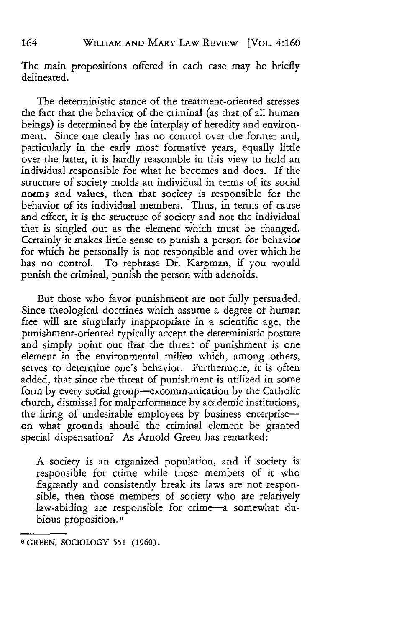The main propositions offered in each case may be briefly delineated.

The deterministic stance of the treatment-oriented stresses the fact that the behavior of the criminal (as that of all human beings) is determined by the interplay of heredity and environment. Since one clearly has no control over the former and, particularly in the early most formative years, equally little over the latter, it is hardly reasonable in this view to hold an individual responsible for what he becomes and does. If the structure of society molds an individual in terms of its social norms and values, then that society is responsible for the behavior of its individual members. Thus, in terms of cause and effect, it is the structure of society and not the individual that is singled out as the element which must be changed. Certainly it makes little sense to punish a person for behavior for which he personally is not responsible and over which he has no control. To rephrase Dr. Karpman, if you would punish the criminal, punish the person with adenoids.

But those who favor punishment are not fully persuaded. Since theological doctrines which assume a degree of human free will are singularly inappropriate in a scientific age, the punishment-oriented typically accept the deterministic posture and simply point out that the threat of punishment is one element in the environmental milieu which, among others, serves to determine one's behavior. Furthermore, it is often added, that since the threat of punishment is utilized in some form by every social group—excommunication by the Catholic church, dismissal for malperformance by academic institutions, the firing of undesirable employees by business enterpriseon what grounds should the criminal element be granted special dispensation? As Arnold Green has remarked:

A society is an organized population, and if society is responsible for crime while those members of it who flagrantly and consistently break its laws are not responsible, then those members of society who are relatively law-abiding are responsible for crime-a somewhat dubious proposition. **6**

164

**<sup>8</sup> GREEN,** SOCIOLOGY **551 (1960).**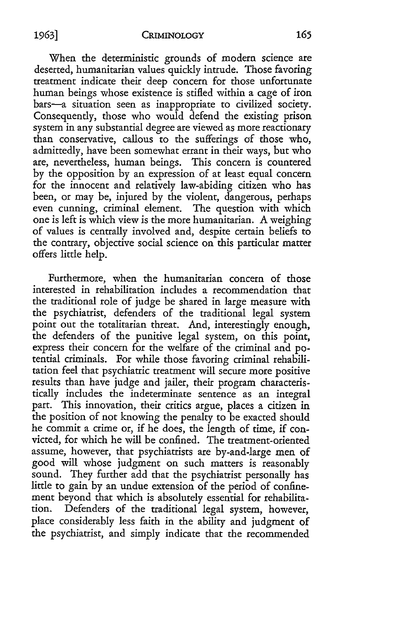When the deterministic grounds of modern science are deserted, humanitarian values quickly intrude. Those favoring treatment indicate their deep concern for those unfortunate human beings whose existence is stifled within a cage of iron bars-a situation seen as inappropriate to civilized society. Consequently, those who would defend the existing prison system in any substantial degree are viewed as more reactionary than conservative, callous to the sufferings of those who, admittedly, have been somewhat errant in their ways, but who are, nevertheless, human beings. This concern is countered by the opposition by an expression of at least equal concern for the innocent and relatively law-abiding citizen who has been, or may be, injured by the violent, dangerous, perhaps even cunning, criminal element. The question with which one is left is which view is the more humanitarian. A weighing of values is centrally involved and, despite certain beliefs to the contrary, objective social science on this particular matter offers little help.

Furthermore, when the humanitarian concern of those interested in rehabilitation includes a recommendation that the traditional role of judge be shared in large measure with the psychiatrist, defenders of the traditional legal system point out the totalitarian threat. And, interestingly enough, the defenders of the punitive legal system, on this point, express their concern for the welfare of the criminal and potential criminals. For while those favoring criminal rehabilitation feel that psychiatric treatment will secure more positive results than have judge and jailer, their program characteristically includes the indeterminate sentence as an integral part. This innovation, their critics argue, places a citizen in the position of not knowing the penalty to be exacted should he commit a crime or, if he does, the length of time, if convicted, for which he will be confined. The treatment-oriented assume, however, that psychiatrists are by-and-large men of good will whose judgment on such matters is reasonably sound. They further add that the psychiatrist personally has little to gain by an undue extension of the period of confinement beyond that which is absolutely essential for rehabilitation. Defenders of the traditional legal system, however, place considerably less faith in the ability and judgment of the psychiatrist, and simply indicate that the recommended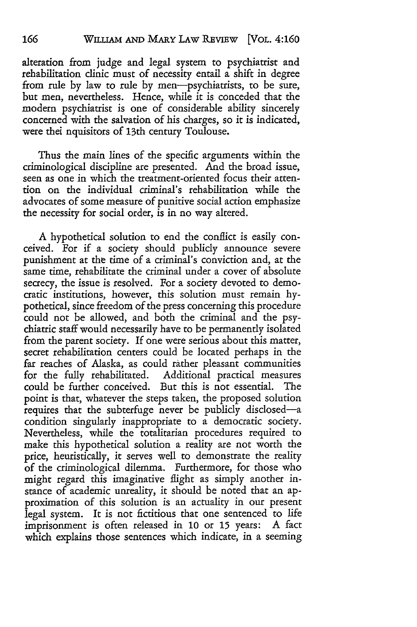alteration from judge and legal system to psychiatrist and rehabilitation clinic must of necessity entail a shift in degree from rule by law to rule by men-psychiatrists, to be sure, but men, nevertheless. Hence, while it is conceded that the modern psychiatrist is one of considerable ability sincerely concerned with the salvation of his charges, so it is indicated, were thei nquisitors of 13th century Toulouse.

Thus the main lines of the specific arguments within the criminological discipline are presented. And the broad issue, seen as one in which the treatment-oriented focus their attention on the individual criminal's rehabilitation while the advocates of some measure of punitive social action emphasize the necessity for social order, is in no way altered.

A hypothetical solution to end the conflict is easily conceived. For if a society should publicly announce severe punishment at the time of a criminal's conviction and, at the same time, rehabilitate the criminal under a cover of absolute secrecy, the issue is resolved. For a society devoted to democratic institutions, however, this solution must remain hypothetical, since freedom of the press concerning this procedure could not be allowed, and both the criminal and the psychiatric staff would necessarily have to be permanently isolated from the parent society. If one were serious about this matter, secret rehabilitation centers could be located perhaps in the far reaches of Alaska, as could rather pleasant communities for the fully rehabilitated. Additional practical measures could be further conceived. But this is not essential. The point is that, whatever the steps taken, the proposed solution requires that the subterfuge never be publicly disclosed-a condition singularly inappropriate to a democratic society. Nevertheless, while the totalitarian procedures required to make this hypothetical solution a reality are not worth the price, heuristically, it serves well to demonstrate the reality of the criminological dilemma. Furthermore, for those who might regard this imaginative flight as simply another instance of academic unreality, it should be noted that an approximation of this solution is an actuality in our present legal system. It is not fictitious that one sentenced to life imprisonment is often released in 10 or 15 years: A fact which explains those sentences which indicate, in a seeming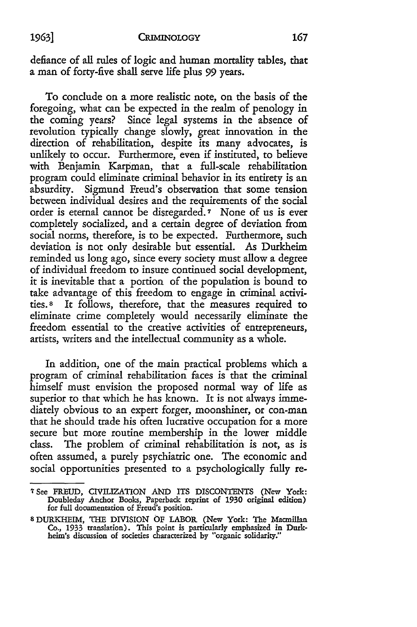defiance of all rules of logic and human mortality tables, that a man of forty-five shall serve life plus **99** years.

To conclude on a more realistic note, on the basis of the foregoing, what can be expected in the realm of penology in the coming years? Since legal systems in the absence of revolution typically change slowly, great innovation in the direction of rehabilitation, despite its many advocates, is unlikely to occur. Furthermore, even if instituted, to believe with Benjamin Karpman, that a full-scale rehabilitation program could eliminate criminal behavior in its entirety is an absurdity. Sigmund Freud's observation that some tension between individual desires and the requirements of the social order is eternal cannot be disregarded. **7** None of us is ever completely socialized, and a certain degree of deviation from social norms, therefore, is to be expected. Furthermore, such deviation is not only desirable but essential. As Durkheim reminded us long ago, since every society must allow a degree of individual freedom to insure continued social development, it is inevitable that a portion of the population is bound to take advantage of this freedom to engage in criminal activities.8 It follows, therefore, that the measures required to eliminate crime completely would necessarily eliminate the freedom essential to the creative activities of entrepreneurs, artists, writers and the intellectual community as a whole.

In addition, one of the main practical problems which a program of criminal rehabilitation faces is that the criminal himself must envision the proposed normal way of life as superior to that which he has known. It is not always immediately obvious to an expert forger, moonshiner, or con-man that he should trade his often lucrative occupation for a more secure but more routine membership in the lower middle class. The problem of criminal rehabilitation is not, as is often assumed, a purely psychiatric one. The economic and social opportunities presented to a psychologically fully re-

**<sup>7</sup>** See FREUD, CIVILIZATION **AND** ITS DISCONTENTS (New York: Doubleday Anchor Books, Paperback reprint of 1930 original edition) for full documentation of Freud's position.

<sup>8</sup>DURKHEIM, THE DIVISION OF LABOR (New York: The Macmillan Co., 1933 translation). This point is particularly emphasized in Durk-helm's discussion of societies characterized by "organic solidarity."